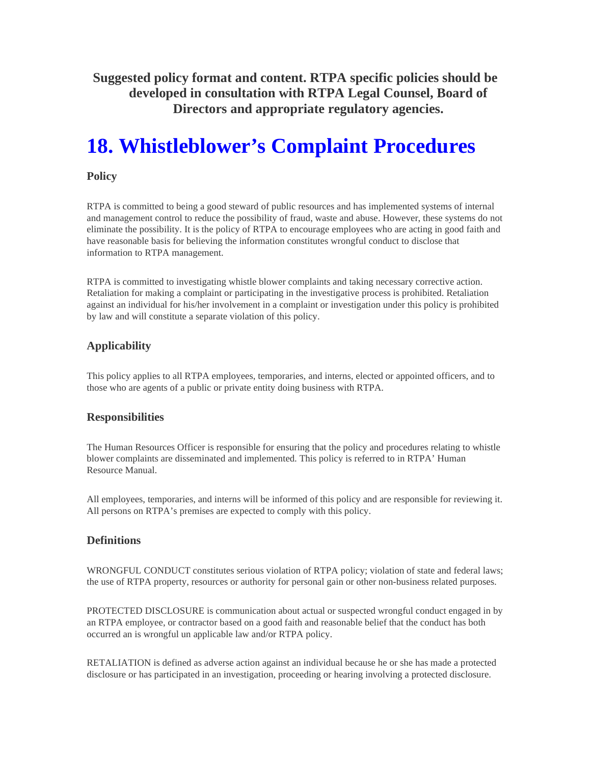**Suggested policy format and content. RTPA specific policies should be developed in consultation with RTPA Legal Counsel, Board of Directors and appropriate regulatory agencies.** 

# **18. Whistleblower's Complaint Procedures**

#### **Policy**

RTPA is committed to being a good steward of public resources and has implemented systems of internal and management control to reduce the possibility of fraud, waste and abuse. However, these systems do not eliminate the possibility. It is the policy of RTPA to encourage employees who are acting in good faith and have reasonable basis for believing the information constitutes wrongful conduct to disclose that information to RTPA management.

RTPA is committed to investigating whistle blower complaints and taking necessary corrective action. Retaliation for making a complaint or participating in the investigative process is prohibited. Retaliation against an individual for his/her involvement in a complaint or investigation under this policy is prohibited by law and will constitute a separate violation of this policy.

## **Applicability**

This policy applies to all RTPA employees, temporaries, and interns, elected or appointed officers, and to those who are agents of a public or private entity doing business with RTPA.

### **Responsibilities**

The Human Resources Officer is responsible for ensuring that the policy and procedures relating to whistle blower complaints are disseminated and implemented. This policy is referred to in RTPA' Human Resource Manual.

All employees, temporaries, and interns will be informed of this policy and are responsible for reviewing it. All persons on RTPA's premises are expected to comply with this policy.

### **Definitions**

WRONGFUL CONDUCT constitutes serious violation of RTPA policy; violation of state and federal laws; the use of RTPA property, resources or authority for personal gain or other non-business related purposes.

PROTECTED DISCLOSURE is communication about actual or suspected wrongful conduct engaged in by an RTPA employee, or contractor based on a good faith and reasonable belief that the conduct has both occurred an is wrongful un applicable law and/or RTPA policy.

RETALIATION is defined as adverse action against an individual because he or she has made a protected disclosure or has participated in an investigation, proceeding or hearing involving a protected disclosure.